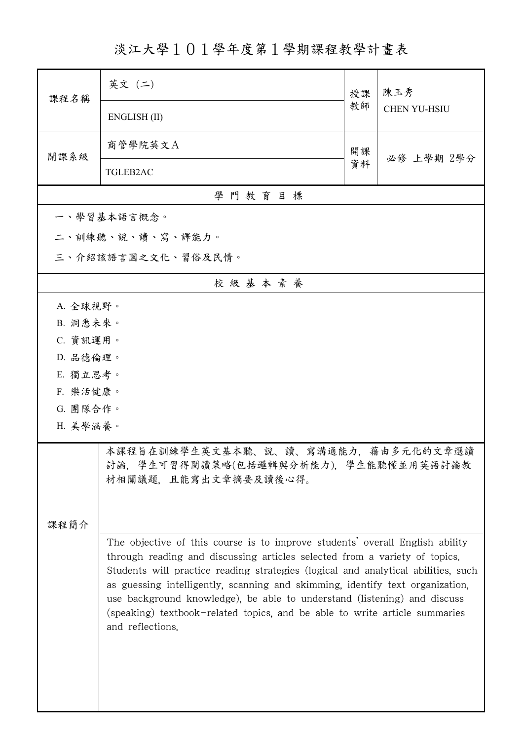淡江大學101學年度第1學期課程教學計畫表

| 課程名稱                                                                                                                                                                                                                                                                                                                                                                                                         | 英文 (二)                                                                                         | 授課 | 陳玉秀                 |  |  |
|--------------------------------------------------------------------------------------------------------------------------------------------------------------------------------------------------------------------------------------------------------------------------------------------------------------------------------------------------------------------------------------------------------------|------------------------------------------------------------------------------------------------|----|---------------------|--|--|
|                                                                                                                                                                                                                                                                                                                                                                                                              | ENGLISH (II)                                                                                   | 教師 | <b>CHEN YU-HSIU</b> |  |  |
| 開課系級                                                                                                                                                                                                                                                                                                                                                                                                         | 商管學院英文A                                                                                        | 開課 | 必修 上學期 2學分          |  |  |
|                                                                                                                                                                                                                                                                                                                                                                                                              | <b>TGLEB2AC</b>                                                                                | 資料 |                     |  |  |
| 學門教育目標                                                                                                                                                                                                                                                                                                                                                                                                       |                                                                                                |    |                     |  |  |
|                                                                                                                                                                                                                                                                                                                                                                                                              | 一、學習基本語言概念。                                                                                    |    |                     |  |  |
|                                                                                                                                                                                                                                                                                                                                                                                                              | 二、訓練聽、說、讀、寫、譯能力。                                                                               |    |                     |  |  |
| 三、介紹該語言國之文化、習俗及民情。                                                                                                                                                                                                                                                                                                                                                                                           |                                                                                                |    |                     |  |  |
|                                                                                                                                                                                                                                                                                                                                                                                                              | 校級基本素養                                                                                         |    |                     |  |  |
| A. 全球視野。                                                                                                                                                                                                                                                                                                                                                                                                     |                                                                                                |    |                     |  |  |
| B. 洞悉未來。                                                                                                                                                                                                                                                                                                                                                                                                     |                                                                                                |    |                     |  |  |
| C. 資訊運用。                                                                                                                                                                                                                                                                                                                                                                                                     |                                                                                                |    |                     |  |  |
| D. 品德倫理。                                                                                                                                                                                                                                                                                                                                                                                                     |                                                                                                |    |                     |  |  |
| E. 獨立思考。                                                                                                                                                                                                                                                                                                                                                                                                     |                                                                                                |    |                     |  |  |
| F. 樂活健康。                                                                                                                                                                                                                                                                                                                                                                                                     |                                                                                                |    |                     |  |  |
| G. 團隊合作。                                                                                                                                                                                                                                                                                                                                                                                                     |                                                                                                |    |                     |  |  |
| H. 美學涵養。                                                                                                                                                                                                                                                                                                                                                                                                     |                                                                                                |    |                     |  |  |
| 本課程旨在訓練學生英文基本聽、說、讀、寫溝通能力,藉由多元化的文章選讀                                                                                                                                                                                                                                                                                                                                                                          |                                                                                                |    |                     |  |  |
|                                                                                                                                                                                                                                                                                                                                                                                                              | 討論,學生可習得閱讀策略(包括邏輯與分析能力),學生能聽懂並用英語討論教<br>材相關議題,且能寫出文章摘要及讀後心得。                                   |    |                     |  |  |
|                                                                                                                                                                                                                                                                                                                                                                                                              |                                                                                                |    |                     |  |  |
|                                                                                                                                                                                                                                                                                                                                                                                                              |                                                                                                |    |                     |  |  |
| 課程簡介                                                                                                                                                                                                                                                                                                                                                                                                         |                                                                                                |    |                     |  |  |
| The objective of this course is to improve students' overall English ability<br>through reading and discussing articles selected from a variety of topics.<br>Students will practice reading strategies (logical and analytical abilities, such<br>as guessing intelligently, scanning and skimming, identify text organization,<br>use background knowledge), be able to understand (listening) and discuss |                                                                                                |    |                     |  |  |
|                                                                                                                                                                                                                                                                                                                                                                                                              | (speaking) textbook-related topics, and be able to write article summaries<br>and reflections. |    |                     |  |  |
|                                                                                                                                                                                                                                                                                                                                                                                                              |                                                                                                |    |                     |  |  |

ı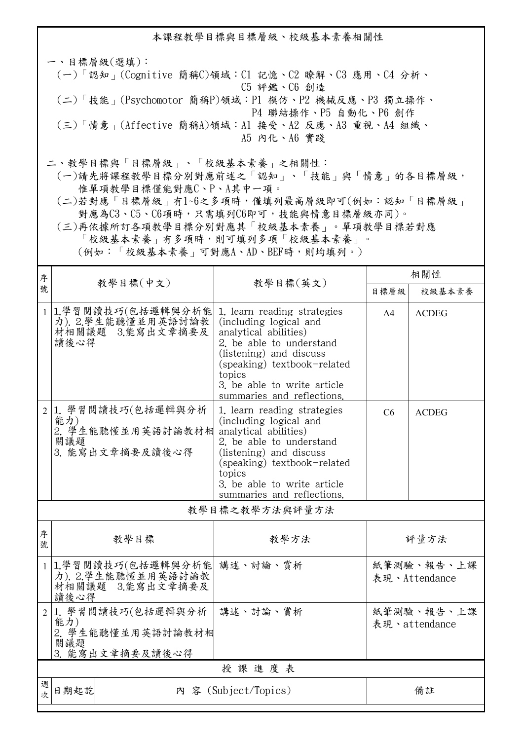本課程教學目標與目標層級、校級基本素養相關性 一、目標層級(選填): (一)「認知」(Cognitive 簡稱C)領域:C1 記憶、C2 瞭解、C3 應用、C4 分析、 C5 評鑑、C6 創造 (二)「技能」(Psychomotor 簡稱P)領域:P1 模仿、P2 機械反應、P3 獨立操作、 P4 聯結操作、P5 自動化、P6 創作 (三)「情意」(Affective 簡稱A)領域:A1 接受、A2 反應、A3 重視、A4 組織、 A5 內化、A6 實踐 二、教學目標與「目標層級」、「校級基本素養」之相關性:

 (一)請先將課程教學目標分別對應前述之「認知」、「技能」與「情意」的各目標層級, 惟單項教學目標僅能對應C、P、A其中一項。

 (二)若對應「目標層級」有1~6之多項時,僅填列最高層級即可(例如:認知「目標層級」 對應為C3、C5、C6項時,只需填列C6即可,技能與情意目標層級亦同)。

 (三)再依據所訂各項教學目標分別對應其「校級基本素養」。單項教學目標若對應 「校級基本素養」有多項時,則可填列多項「校級基本素養」。 (例如:「校級基本素養」可對應A、AD、BEF時,則均填列。)

| 序              |                                                                         |                                                                                                                                                                                                                                             | 相關性                         |              |  |  |
|----------------|-------------------------------------------------------------------------|---------------------------------------------------------------------------------------------------------------------------------------------------------------------------------------------------------------------------------------------|-----------------------------|--------------|--|--|
| 號              |                                                                         | 教學目標(中文)<br>教學目標(英文)                                                                                                                                                                                                                        |                             | 校級基本素養       |  |  |
|                | 1 1.學習閱讀技巧(包括邏輯與分析能<br>力). 2.學生能聽懂並用英語討論教<br>材相關議題 3.能寫出文章摘要及<br>讀後心得   | 1. learn reading strategies<br>(including logical and<br>analytical abilities)<br>2. be able to understand<br>(listening) and discuss<br>(speaking) textbook-related<br>topics<br>3. be able to write article<br>summaries and reflections. | A <sup>4</sup>              | <b>ACDEG</b> |  |  |
| 2              | 1. 學習閱讀技巧(包括邏輯與分析<br>能力)<br>2. 學生能聽懂並用英語討論教材相<br>關議題<br>3. 能寫出文章摘要及讀後心得 | 1. learn reading strategies<br>(including logical and<br>analytical abilities)<br>2. be able to understand<br>(listening) and discuss<br>(speaking) textbook-related<br>topics<br>3. be able to write article<br>summaries and reflections. | C6                          | <b>ACDEG</b> |  |  |
| 教學目標之教學方法與評量方法 |                                                                         |                                                                                                                                                                                                                                             |                             |              |  |  |
| 序<br>號         | 教學目標                                                                    | 教學方法                                                                                                                                                                                                                                        | 評量方法                        |              |  |  |
| $\mathbf{1}$   | 1.學習閱讀技巧(包括邏輯與分析能<br>力). 2.學生能聽懂並用英語討論教<br>材相關議題 3.能寫出文章摘要及<br>讀後心得     | 講述、討論、賞析                                                                                                                                                                                                                                    | 紙筆測驗、報告、上課<br>表現、Attendance |              |  |  |
| 2              | 1. 學習閱讀技巧(包括邏輯與分析<br>能力)<br>2. 學生能聽懂並用英語討論教材相<br>關議題<br>3. 能寫出文章摘要及讀後心得 | 講述、討論、賞析                                                                                                                                                                                                                                    | 紙筆測驗、報告、上課<br>表現、attendance |              |  |  |
|                | 授課進度表                                                                   |                                                                                                                                                                                                                                             |                             |              |  |  |
| 週<br>次         | 日期起訖                                                                    | 内 容 (Subject/Topics)                                                                                                                                                                                                                        |                             | 備註           |  |  |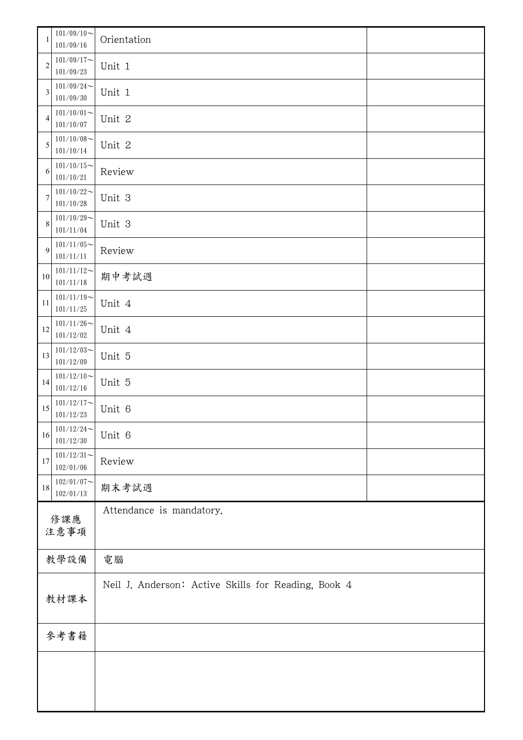|                | $101/09/10 \sim$<br>101/09/16 | Orientation                                         |  |  |
|----------------|-------------------------------|-----------------------------------------------------|--|--|
| $\overline{c}$ | $101/09/17$ ~<br>101/09/23    | Unit 1                                              |  |  |
| $\mathfrak{Z}$ | $101/09/24$ ~<br>101/09/30    | Unit 1                                              |  |  |
| 4              | $101/10/01$ ~<br>101/10/07    | Unit 2                                              |  |  |
| 5              | $101/10/08$ ~<br>101/10/14    | Unit 2                                              |  |  |
| 6              | $101/10/15$ ~<br>101/10/21    | Review                                              |  |  |
| 7              | $101/10/22$ ~<br>101/10/28    | Unit 3                                              |  |  |
| $\,8\,$        | $101/10/29$ ~<br>101/11/04    | Unit 3                                              |  |  |
| 9              | $101/11/05$ ~<br>$101/11/11$  | Review                                              |  |  |
| 10             | $101/11/12$ ~<br>101/11/18    | 期中考試週                                               |  |  |
| 11             | $101/11/19$ ~<br>101/11/25    | Unit 4                                              |  |  |
| 12             | $101/11/26$ ~<br>101/12/02    | Unit 4                                              |  |  |
| 13             | $101/12/03$ ~<br>101/12/09    | Unit 5                                              |  |  |
| 14             | $101/12/10$ ~<br>101/12/16    | Unit 5                                              |  |  |
| 15             | $101/12/17$ ~<br>101/12/23    | Unit 6                                              |  |  |
| 16             | $101/12/24$ ~<br>101/12/30    | Unit 6                                              |  |  |
| $17\,$         | $101/12/31$ ~<br>102/01/06    | Review                                              |  |  |
| $18\,$         | $102/01/07$ ~<br>102/01/13    | 期末考試週                                               |  |  |
| 修課應            |                               | Attendance is mandatory.                            |  |  |
|                | 注意事項                          |                                                     |  |  |
|                | 教學設備                          | 電腦                                                  |  |  |
| 教材課本           |                               | Neil J. Anderson: Active Skills for Reading, Book 4 |  |  |
| 參考書籍           |                               |                                                     |  |  |
|                |                               |                                                     |  |  |
|                |                               |                                                     |  |  |
|                |                               |                                                     |  |  |